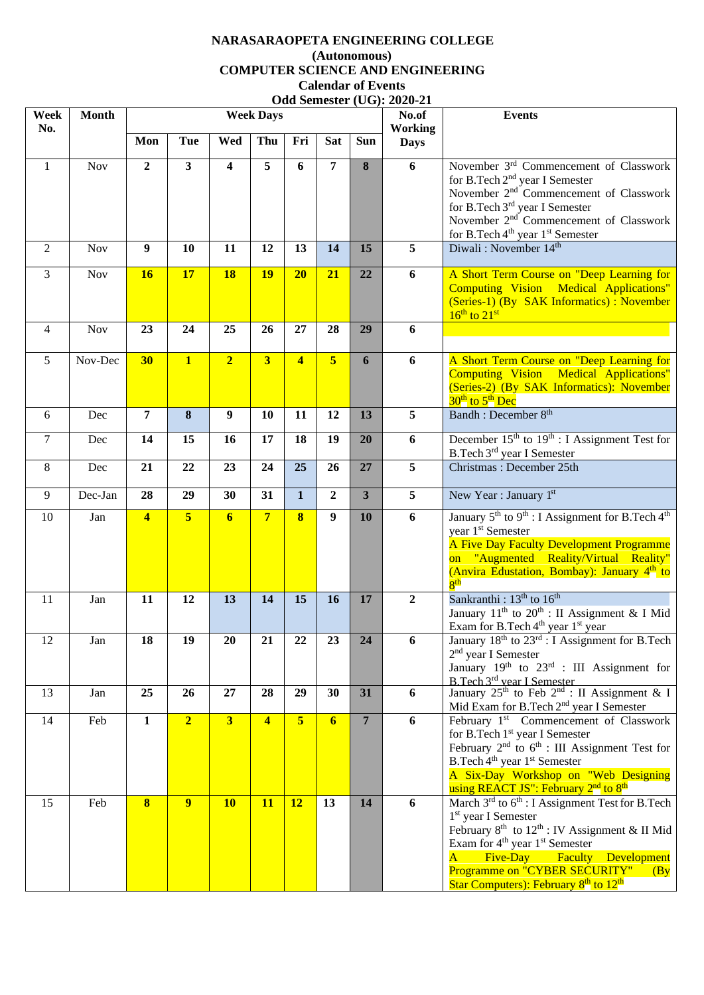## **NARASARAOPETA ENGINEERING COLLEGE (Autonomous) COMPUTER SCIENCE AND ENGINEERING Calendar of Events Odd Semester (UG): 2020-21**

| Week<br>No.    | <b>Month</b> |                         |                |                  | <b>Week Days</b>        |                         |                |                         | <b>UUU DEMESIEI (UU).</b> $\angle 20\angle 0.21$<br>No.of<br>Working | <b>Events</b>                                                                                                                                                                                                                                                                                                                                                                     |
|----------------|--------------|-------------------------|----------------|------------------|-------------------------|-------------------------|----------------|-------------------------|----------------------------------------------------------------------|-----------------------------------------------------------------------------------------------------------------------------------------------------------------------------------------------------------------------------------------------------------------------------------------------------------------------------------------------------------------------------------|
|                |              | Mon                     | Tue            | Wed              | Thu                     | Fri                     | <b>Sat</b>     | <b>Sun</b>              | <b>Days</b>                                                          |                                                                                                                                                                                                                                                                                                                                                                                   |
| $\mathbf{1}$   | Nov          | $\overline{2}$          | $\mathbf{3}$   | 4                | 5                       | 6                       | 7              | 8                       | 6                                                                    | November 3 <sup>rd</sup> Commencement of Classwork<br>for B.Tech 2 <sup>nd</sup> year I Semester<br>November 2 <sup>nd</sup> Commencement of Classwork<br>for B.Tech 3 <sup>rd</sup> year I Semester<br>November 2 <sup>nd</sup> Commencement of Classwork<br>for B.Tech 4 <sup>th</sup> year 1 <sup>st</sup> Semester                                                            |
| 2              | Nov          | 9                       | 10             | 11               | 12                      | 13                      | 14             | 15                      | 5                                                                    | Diwali: November 14th                                                                                                                                                                                                                                                                                                                                                             |
| 3              | <b>Nov</b>   | <b>16</b>               | 17             | <b>18</b>        | <b>19</b>               | 20                      | 21             | 22                      | 6                                                                    | A Short Term Course on "Deep Learning for<br><b>Computing Vision Medical Applications"</b><br>(Series-1) (By SAK Informatics) : November<br>$16th$ to $21st$                                                                                                                                                                                                                      |
| 4              | <b>Nov</b>   | 23                      | 24             | 25               | 26                      | 27                      | 28             | 29                      | 6                                                                    |                                                                                                                                                                                                                                                                                                                                                                                   |
| 5              | Nov-Dec      | 30                      | $\mathbf{1}$   | $\overline{2}$   | $\overline{\mathbf{3}}$ | $\overline{\mathbf{4}}$ | 5              | 6                       | 6                                                                    | A Short Term Course on "Deep Learning for<br>Computing Vision Medical Applications"<br>(Series-2) (By SAK Informatics): November<br>30 <sup>th</sup> to 5 <sup>th</sup> Dec                                                                                                                                                                                                       |
| 6              | Dec          | 7                       | 8              | $\boldsymbol{9}$ | <b>10</b>               | 11                      | 12             | 13                      | 5                                                                    | Bandh : December 8 <sup>th</sup>                                                                                                                                                                                                                                                                                                                                                  |
| $\overline{7}$ | Dec          | 14                      | 15             | 16               | 17                      | 18                      | 19             | 20                      | 6                                                                    | December $15th$ to $19th$ : I Assignment Test for<br>B.Tech 3rd year I Semester                                                                                                                                                                                                                                                                                                   |
| 8              | Dec          | 21                      | 22             | 23               | 24                      | 25                      | 26             | 27                      | 5                                                                    | Christmas: December 25th                                                                                                                                                                                                                                                                                                                                                          |
| 9              | Dec-Jan      | 28                      | 29             | 30               | 31                      | $\mathbf 1$             | $\mathbf{2}$   | $\overline{\mathbf{3}}$ | 5                                                                    | New Year : January 1st                                                                                                                                                                                                                                                                                                                                                            |
| 10             | Jan          | $\overline{\mathbf{4}}$ | $\overline{5}$ | $6\phantom{1}6$  | $\overline{7}$          | 8                       | 9              | 10                      | 6                                                                    | January 5 <sup>th</sup> to 9 <sup>th</sup> : I Assignment for B.Tech 4 <sup>th</sup><br>year 1 <sup>st</sup> Semester<br>A Five Day Faculty Development Programme<br>on "Augmented Reality/Virtual Reality"<br>(Anvira Edustation, Bombay): January 4 <sup>th</sup> to<br>8 <sup>th</sup>                                                                                         |
| 11             | Jan          | 11                      | 12             | 13               | 14                      | 15                      | 16             | 17                      | $\boldsymbol{2}$                                                     | Sankranthi: $13th$ to $16th$<br>January 11 <sup>th</sup> to 20 <sup>th</sup> : II Assignment & I Mid<br>Exam for B.Tech 4 <sup>th</sup> year 1 <sup>st</sup> year                                                                                                                                                                                                                 |
| 12             | Jan          | 18                      | 19             | 20               | 21                      | 22                      | 23             | 24                      | 6                                                                    | January 18 <sup>th</sup> to 23 <sup>rd</sup> : I Assignment for B.Tech<br>2 <sup>nd</sup> year I Semester<br>January $19^{th}$ to $23^{rd}$ : III Assignment for<br>B.Tech 3rd year I Semester                                                                                                                                                                                    |
| 13             | Jan          | 25                      | 26             | 27               | 28                      | 29                      | 30             | 31                      | 6                                                                    | January $25^{\text{th}}$ to Feb $2^{\text{nd}}$ : II Assignment & I<br>Mid Exam for B.Tech 2 <sup>nd</sup> year I Semester                                                                                                                                                                                                                                                        |
| 14             | Feb          | $\mathbf{1}$            | $\overline{2}$ | 3                | $\overline{\mathbf{4}}$ | 5 <sup>5</sup>          | $6\phantom{1}$ | $7\phantom{.}$          | 6                                                                    | February 1st Commencement of Classwork<br>for B.Tech 1 <sup>st</sup> year I Semester<br>February $2^{nd}$ to $6^{th}$ : III Assignment Test for<br>B.Tech 4 <sup>th</sup> year 1 <sup>st</sup> Semester<br>A Six-Day Workshop on "Web Designing<br>using REACT JS": February 2 <sup>nd</sup> to 8 <sup>th</sup>                                                                   |
| 15             | Feb          | $\bf{8}$                | 9              | <b>10</b>        | <b>11</b>               | 12                      | 13             | 14                      | 6                                                                    | March 3 <sup>rd</sup> to 6 <sup>th</sup> : I Assignment Test for B.Tech<br>1 <sup>st</sup> year I Semester<br>February $8^{th}$ to $12^{th}$ : IV Assignment & II Mid<br>Exam for 4 <sup>th</sup> year 1 <sup>st</sup> Semester<br>$\overline{A}$<br>Five-Day<br><b>Faculty</b> Development<br>Programme on "CYBER SECURITY"<br>(By)<br>Star Computers): February $8th$ to $12th$ |